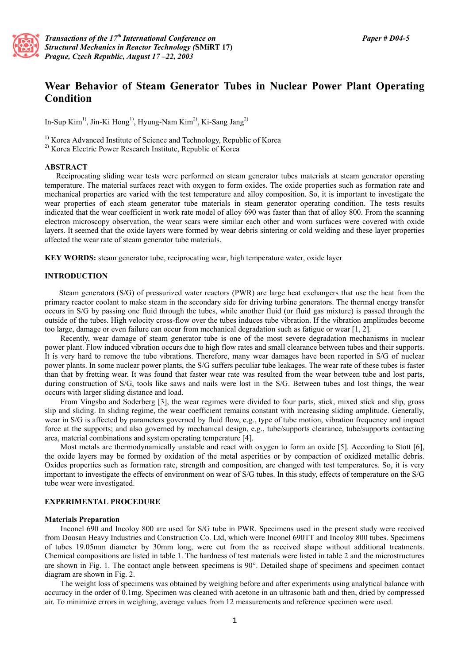

# **Wear Behavior of Steam Generator Tubes in Nuclear Power Plant Operating Condition**

In-Sup Kim1), Jin-Ki Hong1), Hyung-Nam Kim2), Ki-Sang Jang2)

<sup>1)</sup> Korea Advanced Institute of Science and Technology, Republic of Korea

2) Korea Electric Power Research Institute, Republic of Korea

## **ABSTRACT**

 Reciprocating sliding wear tests were performed on steam generator tubes materials at steam generator operating temperature. The material surfaces react with oxygen to form oxides. The oxide properties such as formation rate and mechanical properties are varied with the test temperature and alloy composition. So, it is important to investigate the wear properties of each steam generator tube materials in steam generator operating condition. The tests results indicated that the wear coefficient in work rate model of alloy 690 was faster than that of alloy 800. From the scanning electron microscopy observation, the wear scars were similar each other and worn surfaces were covered with oxide layers. It seemed that the oxide layers were formed by wear debris sintering or cold welding and these layer properties affected the wear rate of steam generator tube materials.

**KEY WORDS:** steam generator tube, reciprocating wear, high temperature water, oxide layer

### **INTRODUCTION**

 Steam generators (S/G) of pressurized water reactors (PWR) are large heat exchangers that use the heat from the primary reactor coolant to make steam in the secondary side for driving turbine generators. The thermal energy transfer occurs in S/G by passing one fluid through the tubes, while another fluid (or fluid gas mixture) is passed through the outside of the tubes. High velocity cross-flow over the tubes induces tube vibration. If the vibration amplitudes become too large, damage or even failure can occur from mechanical degradation such as fatigue or wear [1, 2].

Recently, wear damage of steam generator tube is one of the most severe degradation mechanisms in nuclear power plant. Flow induced vibration occurs due to high flow rates and small clearance between tubes and their supports. It is very hard to remove the tube vibrations. Therefore, many wear damages have been reported in S/G of nuclear power plants. In some nuclear power plants, the S/G suffers peculiar tube leakages. The wear rate of these tubes is faster than that by fretting wear. It was found that faster wear rate was resulted from the wear between tube and lost parts, during construction of S/G, tools like saws and nails were lost in the S/G. Between tubes and lost things, the wear occurs with larger sliding distance and load.

From Vingsbo and Soderberg [3], the wear regimes were divided to four parts, stick, mixed stick and slip, gross slip and sliding. In sliding regime, the wear coefficient remains constant with increasing sliding amplitude. Generally, wear in S/G is affected by parameters governed by fluid flow, e.g., type of tube motion, vibration frequency and impact force at the supports; and also governed by mechanical design, e.g., tube/supports clearance, tube/supports contacting area, material combinations and system operating temperature [4].

Most metals are thermodynamically unstable and react with oxygen to form an oxide [5]. According to Stott [6], the oxide layers may be formed by oxidation of the metal asperities or by compaction of oxidized metallic debris. Oxides properties such as formation rate, strength and composition, are changed with test temperatures. So, it is very important to investigate the effects of environment on wear of S/G tubes. In this study, effects of temperature on the S/G tube wear were investigated.

#### **EXPERIMENTAL PROCEDURE**

#### **Materials Preparation**

Inconel 690 and Incoloy 800 are used for S/G tube in PWR. Specimens used in the present study were received from Doosan Heavy Industries and Construction Co. Ltd, which were Inconel 690TT and Incoloy 800 tubes. Specimens of tubes 19.05mm diameter by 30mm long, were cut from the as received shape without additional treatments. Chemical compositions are listed in table 1. The hardness of test materials were listed in table 2 and the microstructures are shown in Fig. 1. The contact angle between specimens is 90°. Detailed shape of specimens and specimen contact diagram are shown in Fig. 2.

The weight loss of specimens was obtained by weighing before and after experiments using analytical balance with accuracy in the order of 0.1mg. Specimen was cleaned with acetone in an ultrasonic bath and then, dried by compressed air. To minimize errors in weighing, average values from 12 measurements and reference specimen were used.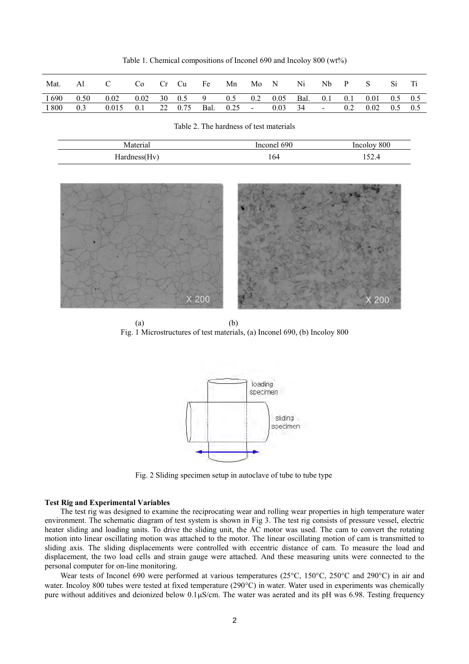Table 1. Chemical compositions of Inconel 690 and Incoloy 800 (wt%)

| Mat.  | Al                 |                                 |                                                            | Co Cr Cu Fe | Mn | Mo N | Ni                      | $Nb$ $P$ $S$ |                          | Si. |  |
|-------|--------------------|---------------------------------|------------------------------------------------------------|-------------|----|------|-------------------------|--------------|--------------------------|-----|--|
| I 690 | $0.50 \qquad 0.02$ |                                 | $0.02$ 30 $0.5$ 9 $0.5$ 0.2 0.05 Bal. 0.1 0.1 0.01 0.5 0.5 |             |    |      |                         |              |                          |     |  |
| I 800 | 0.3                | $0.015$ 0.1 22 0.75 Bal. 0.25 - |                                                            |             |    |      | $0.03 \quad 34 \quad -$ |              | $0.2$ $0.02$ $0.5$ $0.5$ |     |  |

Table 2. The hardness of test materials

Material Inconel 690 Incoloy 800 Hardness(Hv) 164 152.4



 $(a)$  (b) Fig. 1 Microstructures of test materials, (a) Inconel 690, (b) Incoloy 800



Fig. 2 Sliding specimen setup in autoclave of tube to tube type

### **Test Rig and Experimental Variables**

The test rig was designed to examine the reciprocating wear and rolling wear properties in high temperature water environment. The schematic diagram of test system is shown in Fig 3. The test rig consists of pressure vessel, electric heater sliding and loading units. To drive the sliding unit, the AC motor was used. The cam to convert the rotating motion into linear oscillating motion was attached to the motor. The linear oscillating motion of cam is transmitted to sliding axis. The sliding displacements were controlled with eccentric distance of cam. To measure the load and displacement, the two load cells and strain gauge were attached. And these measuring units were connected to the personal computer for on-line monitoring.

Wear tests of Inconel 690 were performed at various temperatures (25°C, 150°C, 250°C and 290°C) in air and water. Incoloy 800 tubes were tested at fixed temperature (290°C) in water. Water used in experiments was chemically pure without additives and deionized below  $0.1\mu S/cm$ . The water was aerated and its pH was 6.98. Testing frequency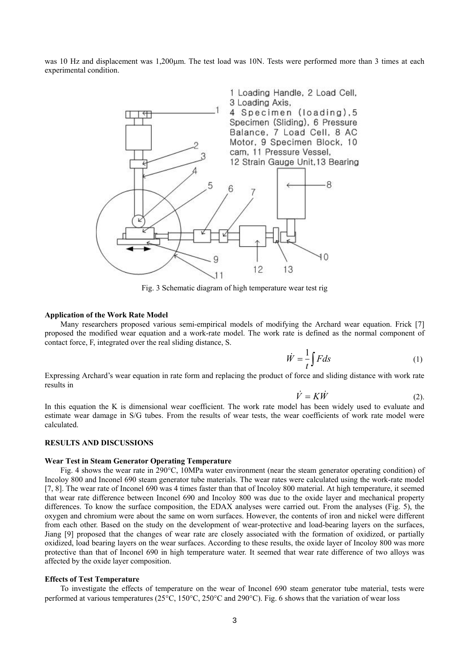was 10 Hz and displacement was 1,200 $\mu$ m. The test load was 10N. Tests were performed more than 3 times at each experimental condition.



Fig. 3 Schematic diagram of high temperature wear test rig

## **Application of the Work Rate Model**

Many researchers proposed various semi-empirical models of modifying the Archard wear equation. Frick [7] proposed the modified wear equation and a work-rate model. The work rate is defined as the normal component of contact force, F, integrated over the real sliding distance, S.

$$
\dot{W} = \frac{1}{t} \int F ds \tag{1}
$$

Expressing Archard's wear equation in rate form and replacing the product of force and sliding distance with work rate results in

$$
\dot{V} = K\dot{W} \tag{2}
$$

In this equation the K is dimensional wear coefficient. The work rate model has been widely used to evaluate and estimate wear damage in S/G tubes. From the results of wear tests, the wear coefficients of work rate model were calculated.

#### **RESULTS AND DISCUSSIONS**

## **Wear Test in Steam Generator Operating Temperature**

Fig. 4 shows the wear rate in 290°C, 10MPa water environment (near the steam generator operating condition) of Incoloy 800 and Inconel 690 steam generator tube materials. The wear rates were calculated using the work-rate model [7, 8]. The wear rate of Inconel 690 was 4 times faster than that of Incoloy 800 material. At high temperature, it seemed that wear rate difference between Inconel 690 and Incoloy 800 was due to the oxide layer and mechanical property differences. To know the surface composition, the EDAX analyses were carried out. From the analyses (Fig. 5), the oxygen and chromium were about the same on worn surfaces. However, the contents of iron and nickel were different from each other. Based on the study on the development of wear-protective and load-bearing layers on the surfaces, Jiang [9] proposed that the changes of wear rate are closely associated with the formation of oxidized, or partially oxidized, load bearing layers on the wear surfaces. According to these results, the oxide layer of Incoloy 800 was more protective than that of Inconel 690 in high temperature water. It seemed that wear rate difference of two alloys was affected by the oxide layer composition.

### **Effects of Test Temperature**

To investigate the effects of temperature on the wear of Inconel 690 steam generator tube material, tests were performed at various temperatures (25°C, 150°C, 250°C and 290°C). Fig. 6 shows that the variation of wear loss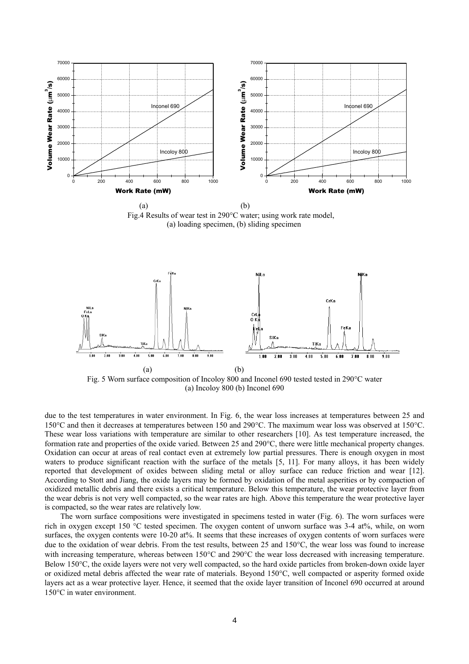

Fig.4 Results of wear test in 290°C water; using work rate model, (a) loading specimen, (b) sliding specimen



Fig. 5 Worn surface composition of Incoloy 800 and Inconel 690 tested tested in 290°C water (a) Incoloy 800 (b) Inconel 690

due to the test temperatures in water environment. In Fig. 6, the wear loss increases at temperatures between 25 and 150°C and then it decreases at temperatures between 150 and 290°C. The maximum wear loss was observed at 150°C. These wear loss variations with temperature are similar to other researchers [10]. As test temperature increased, the formation rate and properties of the oxide varied. Between 25 and 290°C, there were little mechanical property changes. Oxidation can occur at areas of real contact even at extremely low partial pressures. There is enough oxygen in most waters to produce significant reaction with the surface of the metals [5, 11]. For many alloys, it has been widely reported that development of oxides between sliding metal or alloy surface can reduce friction and wear [12]. According to Stott and Jiang, the oxide layers may be formed by oxidation of the metal asperities or by compaction of oxidized metallic debris and there exists a critical temperature. Below this temperature, the wear protective layer from the wear debris is not very well compacted, so the wear rates are high. Above this temperature the wear protective layer is compacted, so the wear rates are relatively low.

The worn surface compositions were investigated in specimens tested in water (Fig. 6). The worn surfaces were rich in oxygen except 150 °C tested specimen. The oxygen content of unworn surface was 3-4 at%, while, on worn surfaces, the oxygen contents were 10-20 at%. It seems that these increases of oxygen contents of worn surfaces were due to the oxidation of wear debris. From the test results, between 25 and 150°C, the wear loss was found to increase with increasing temperature, whereas between 150°C and 290°C the wear loss decreased with increasing temperature. Below 150°C, the oxide layers were not very well compacted, so the hard oxide particles from broken-down oxide layer or oxidized metal debris affected the wear rate of materials. Beyond 150°C, well compacted or asperity formed oxide layers act as a wear protective layer. Hence, it seemed that the oxide layer transition of Inconel 690 occurred at around 150°C in water environment.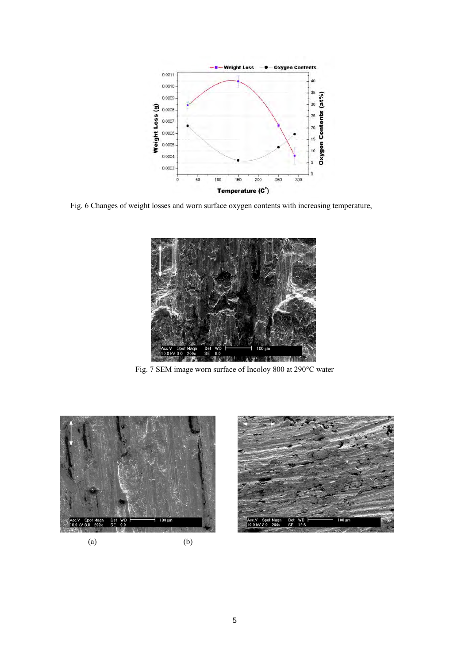

Fig. 6 Changes of weight losses and worn surface oxygen contents with increasing temperature,



Fig. 7 SEM image worn surface of Incoloy 800 at 290°C water



 $(a)$  (b)

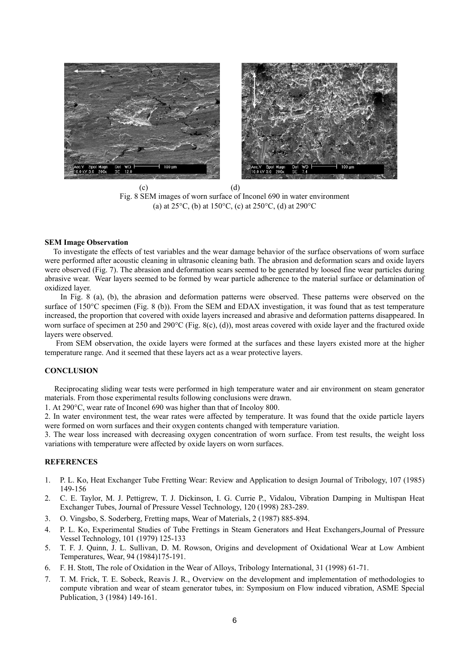

 $\qquad \qquad \textbf{(c)}\qquad \qquad \textbf{(d)}$ Fig. 8 SEM images of worn surface of Inconel 690 in water environment (a) at  $25^{\circ}$ C, (b) at  $150^{\circ}$ C, (c) at  $250^{\circ}$ C, (d) at  $290^{\circ}$ C

#### **SEM Image Observation**

 To investigate the effects of test variables and the wear damage behavior of the surface observations of worn surface were performed after acoustic cleaning in ultrasonic cleaning bath. The abrasion and deformation scars and oxide layers were observed (Fig. 7). The abrasion and deformation scars seemed to be generated by loosed fine wear particles during abrasive wear. Wear layers seemed to be formed by wear particle adherence to the material surface or delamination of oxidized layer.

In Fig. 8 (a), (b), the abrasion and deformation patterns were observed. These patterns were observed on the surface of 150°C specimen (Fig. 8 (b)). From the SEM and EDAX investigation, it was found that as test temperature increased, the proportion that covered with oxide layers increased and abrasive and deformation patterns disappeared. In worn surface of specimen at 250 and 290°C (Fig. 8(c), (d)), most areas covered with oxide layer and the fractured oxide layers were observed.

 From SEM observation, the oxide layers were formed at the surfaces and these layers existed more at the higher temperature range. And it seemed that these layers act as a wear protective layers.

## **CONCLUSION**

 Reciprocating sliding wear tests were performed in high temperature water and air environment on steam generator materials. From those experimental results following conclusions were drawn.

1. At 290°C, wear rate of Inconel 690 was higher than that of Incoloy 800.

2. In water environment test, the wear rates were affected by temperature. It was found that the oxide particle layers were formed on worn surfaces and their oxygen contents changed with temperature variation.

3. The wear loss increased with decreasing oxygen concentration of worn surface. From test results, the weight loss variations with temperature were affected by oxide layers on worn surfaces.

## **REFERENCES**

- 1. P. L. Ko, Heat Exchanger Tube Fretting Wear: Review and Application to design Journal of Tribology, 107 (1985) 149-156
- 2. C. E. Taylor, M. J. Pettigrew, T. J. Dickinson, I. G. Currie P., Vidalou, Vibration Damping in Multispan Heat Exchanger Tubes, Journal of Pressure Vessel Technology, 120 (1998) 283-289.
- 3. O. Vingsbo, S. Soderberg, Fretting maps, Wear of Materials, 2 (1987) 885-894.
- 4. P. L. Ko, Experimental Studies of Tube Frettings in Steam Generators and Heat Exchangers,Journal of Pressure Vessel Technology, 101 (1979) 125-133
- 5. T. F. J. Quinn, J. L. Sullivan, D. M. Rowson, Origins and development of Oxidational Wear at Low Ambient Temperatures, Wear, 94 (1984)175-191.
- 6. F. H. Stott, The role of Oxidation in the Wear of Alloys, Tribology International, 31 (1998) 61-71.
- 7. T. M. Frick, T. E. Sobeck, Reavis J. R., Overview on the development and implementation of methodologies to compute vibration and wear of steam generator tubes, in: Symposium on Flow induced vibration, ASME Special Publication, 3 (1984) 149-161.